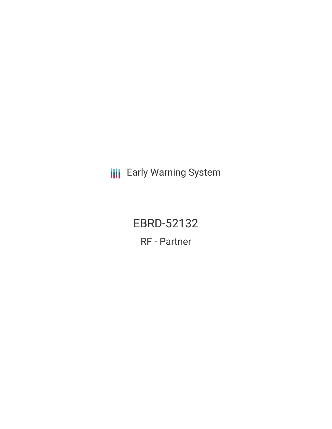**III** Early Warning System

EBRD-52132 RF - Partner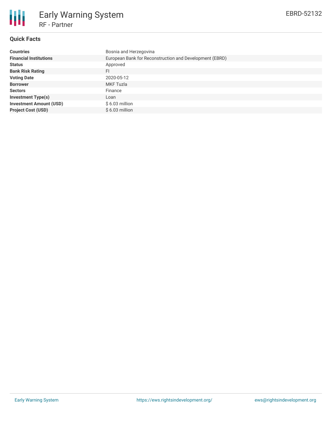

# **Quick Facts**

| <b>Countries</b>               | Bosnia and Herzegovina                                  |
|--------------------------------|---------------------------------------------------------|
| <b>Financial Institutions</b>  | European Bank for Reconstruction and Development (EBRD) |
| <b>Status</b>                  | Approved                                                |
| <b>Bank Risk Rating</b>        | FI                                                      |
| <b>Voting Date</b>             | 2020-05-12                                              |
| <b>Borrower</b>                | <b>MKF Tuzla</b>                                        |
| <b>Sectors</b>                 | Finance                                                 |
| <b>Investment Type(s)</b>      | Loan                                                    |
| <b>Investment Amount (USD)</b> | $$6.03$ million                                         |
| <b>Project Cost (USD)</b>      | $$6.03$ million                                         |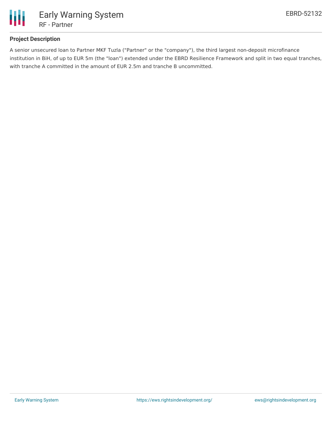

# **Project Description**

A senior unsecured loan to Partner MKF Tuzla ("Partner" or the "company"), the third largest non-deposit microfinance institution in BiH, of up to EUR 5m (the "loan") extended under the EBRD Resilience Framework and split in two equal tranches, with tranche A committed in the amount of EUR 2.5m and tranche B uncommitted.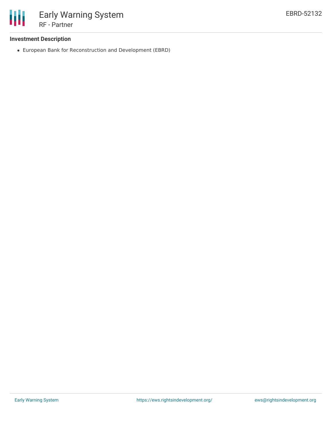

## **Investment Description**

European Bank for Reconstruction and Development (EBRD)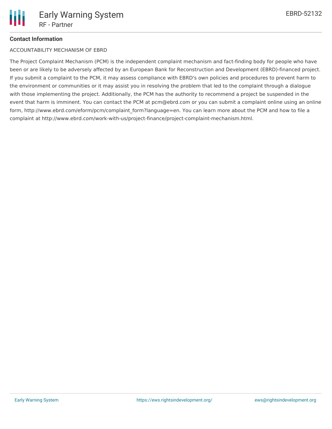# **Contact Information**

## ACCOUNTABILITY MECHANISM OF EBRD

The Project Complaint Mechanism (PCM) is the independent complaint mechanism and fact-finding body for people who have been or are likely to be adversely affected by an European Bank for Reconstruction and Development (EBRD)-financed project. If you submit a complaint to the PCM, it may assess compliance with EBRD's own policies and procedures to prevent harm to the environment or communities or it may assist you in resolving the problem that led to the complaint through a dialogue with those implementing the project. Additionally, the PCM has the authority to recommend a project be suspended in the event that harm is imminent. You can contact the PCM at pcm@ebrd.com or you can submit a complaint online using an online form, http://www.ebrd.com/eform/pcm/complaint form?language=en. You can learn more about the PCM and how to file a complaint at http://www.ebrd.com/work-with-us/project-finance/project-complaint-mechanism.html.